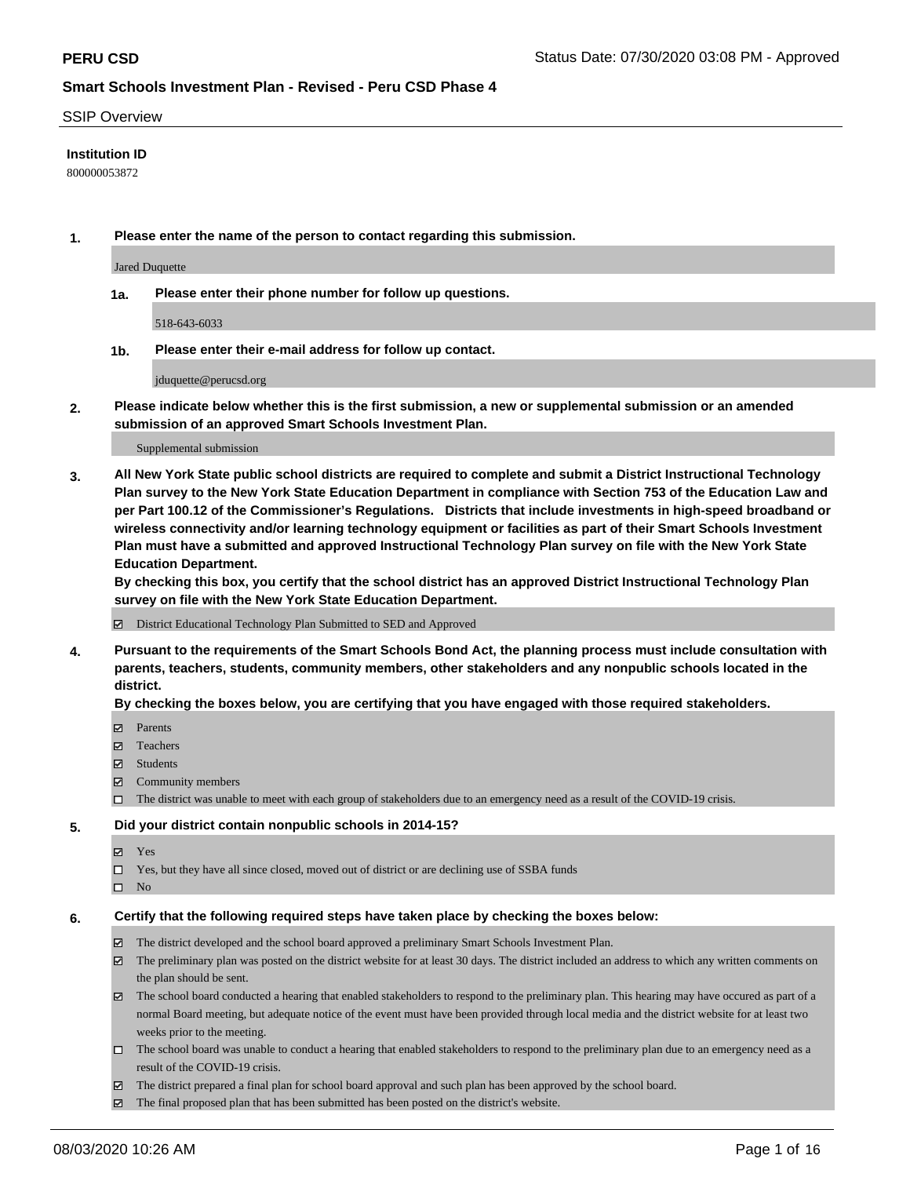#### SSIP Overview

### **Institution ID**

800000053872

**1. Please enter the name of the person to contact regarding this submission.**

Jared Duquette

**1a. Please enter their phone number for follow up questions.**

518-643-6033

**1b. Please enter their e-mail address for follow up contact.**

jduquette@perucsd.org

**2. Please indicate below whether this is the first submission, a new or supplemental submission or an amended submission of an approved Smart Schools Investment Plan.**

#### Supplemental submission

**3. All New York State public school districts are required to complete and submit a District Instructional Technology Plan survey to the New York State Education Department in compliance with Section 753 of the Education Law and per Part 100.12 of the Commissioner's Regulations. Districts that include investments in high-speed broadband or wireless connectivity and/or learning technology equipment or facilities as part of their Smart Schools Investment Plan must have a submitted and approved Instructional Technology Plan survey on file with the New York State Education Department.** 

**By checking this box, you certify that the school district has an approved District Instructional Technology Plan survey on file with the New York State Education Department.**

District Educational Technology Plan Submitted to SED and Approved

**4. Pursuant to the requirements of the Smart Schools Bond Act, the planning process must include consultation with parents, teachers, students, community members, other stakeholders and any nonpublic schools located in the district.** 

#### **By checking the boxes below, you are certifying that you have engaged with those required stakeholders.**

- **□** Parents
- Teachers
- Students
- $\boxtimes$  Community members
- The district was unable to meet with each group of stakeholders due to an emergency need as a result of the COVID-19 crisis.

#### **5. Did your district contain nonpublic schools in 2014-15?**

- **冈** Yes
- Yes, but they have all since closed, moved out of district or are declining use of SSBA funds
- $\square$  No

#### **6. Certify that the following required steps have taken place by checking the boxes below:**

- The district developed and the school board approved a preliminary Smart Schools Investment Plan.
- $\boxtimes$  The preliminary plan was posted on the district website for at least 30 days. The district included an address to which any written comments on the plan should be sent.
- The school board conducted a hearing that enabled stakeholders to respond to the preliminary plan. This hearing may have occured as part of a normal Board meeting, but adequate notice of the event must have been provided through local media and the district website for at least two weeks prior to the meeting.
- The school board was unable to conduct a hearing that enabled stakeholders to respond to the preliminary plan due to an emergency need as a result of the COVID-19 crisis.
- The district prepared a final plan for school board approval and such plan has been approved by the school board.
- $\boxtimes$  The final proposed plan that has been submitted has been posted on the district's website.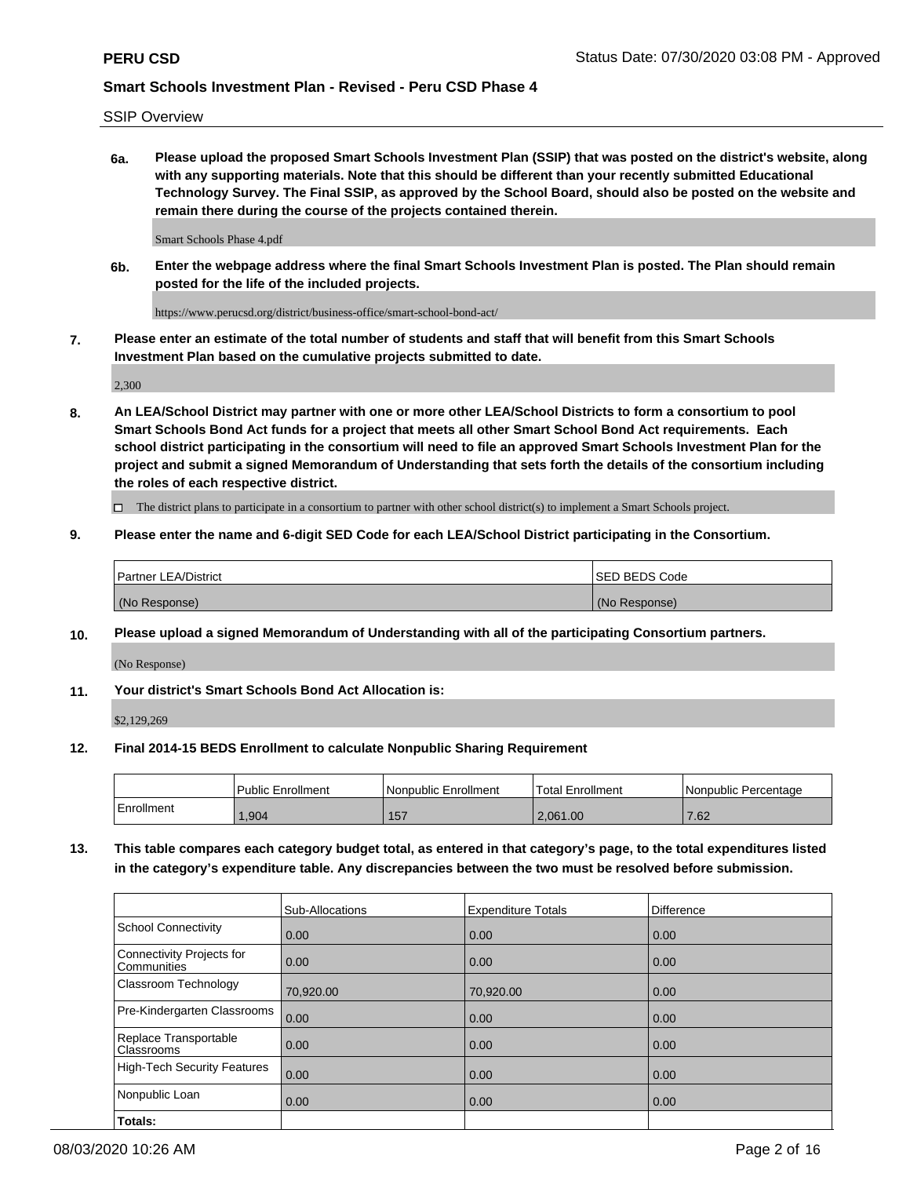SSIP Overview

**6a. Please upload the proposed Smart Schools Investment Plan (SSIP) that was posted on the district's website, along with any supporting materials. Note that this should be different than your recently submitted Educational Technology Survey. The Final SSIP, as approved by the School Board, should also be posted on the website and remain there during the course of the projects contained therein.**

Smart Schools Phase 4.pdf

**6b. Enter the webpage address where the final Smart Schools Investment Plan is posted. The Plan should remain posted for the life of the included projects.**

https://www.perucsd.org/district/business-office/smart-school-bond-act/

**7. Please enter an estimate of the total number of students and staff that will benefit from this Smart Schools Investment Plan based on the cumulative projects submitted to date.**

2,300

**8. An LEA/School District may partner with one or more other LEA/School Districts to form a consortium to pool Smart Schools Bond Act funds for a project that meets all other Smart School Bond Act requirements. Each school district participating in the consortium will need to file an approved Smart Schools Investment Plan for the project and submit a signed Memorandum of Understanding that sets forth the details of the consortium including the roles of each respective district.**

 $\Box$  The district plans to participate in a consortium to partner with other school district(s) to implement a Smart Schools project.

### **9. Please enter the name and 6-digit SED Code for each LEA/School District participating in the Consortium.**

| Partner LEA/District | <b>ISED BEDS Code</b> |
|----------------------|-----------------------|
| (No Response)        | (No Response)         |

### **10. Please upload a signed Memorandum of Understanding with all of the participating Consortium partners.**

(No Response)

#### **11. Your district's Smart Schools Bond Act Allocation is:**

\$2,129,269

#### **12. Final 2014-15 BEDS Enrollment to calculate Nonpublic Sharing Requirement**

|            | Public Enrollment | Nonpublic Enrollment | Total Enrollment | I Nonpublic Percentage |
|------------|-------------------|----------------------|------------------|------------------------|
| Enrollment | .904              | 157                  | 2.061.00         | 7.62                   |

**13. This table compares each category budget total, as entered in that category's page, to the total expenditures listed in the category's expenditure table. Any discrepancies between the two must be resolved before submission.**

|                                          | Sub-Allocations | <b>Expenditure Totals</b> | <b>Difference</b> |
|------------------------------------------|-----------------|---------------------------|-------------------|
| <b>School Connectivity</b>               | 0.00            | 0.00                      | 0.00              |
| Connectivity Projects for<br>Communities | 0.00            | 0.00                      | 0.00              |
| Classroom Technology                     | 70,920.00       | 70,920.00                 | 0.00              |
| Pre-Kindergarten Classrooms              | 0.00            | 0.00                      | 0.00              |
| Replace Transportable<br>Classrooms      | 0.00            | 0.00                      | 0.00              |
| <b>High-Tech Security Features</b>       | 0.00            | 0.00                      | 0.00              |
| Nonpublic Loan                           | 0.00            | 0.00                      | 0.00              |
| Totals:                                  |                 |                           |                   |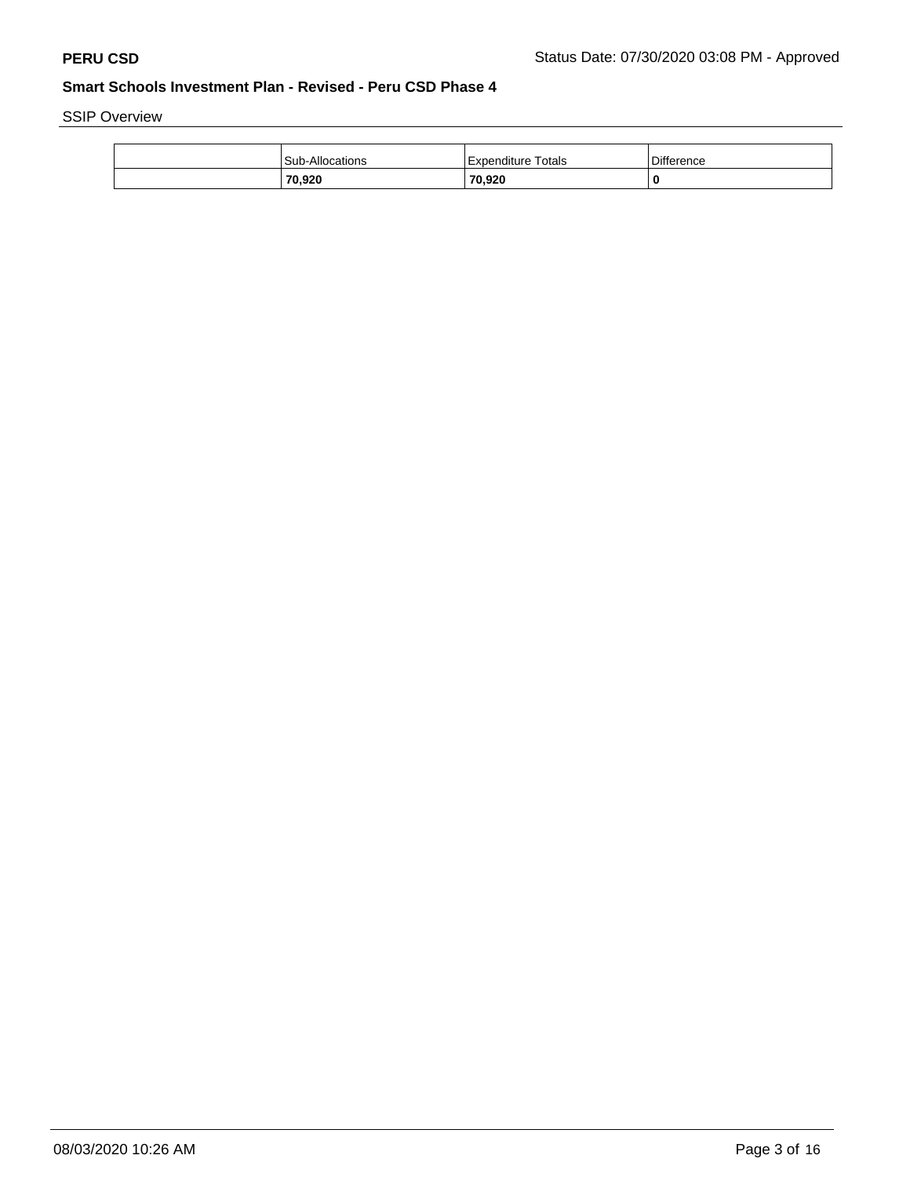SSIP Overview

| 70,920                 | 70,920               | -0                |
|------------------------|----------------------|-------------------|
| <b>Sub-Allocations</b> | l Expenditure Totals | <b>Difference</b> |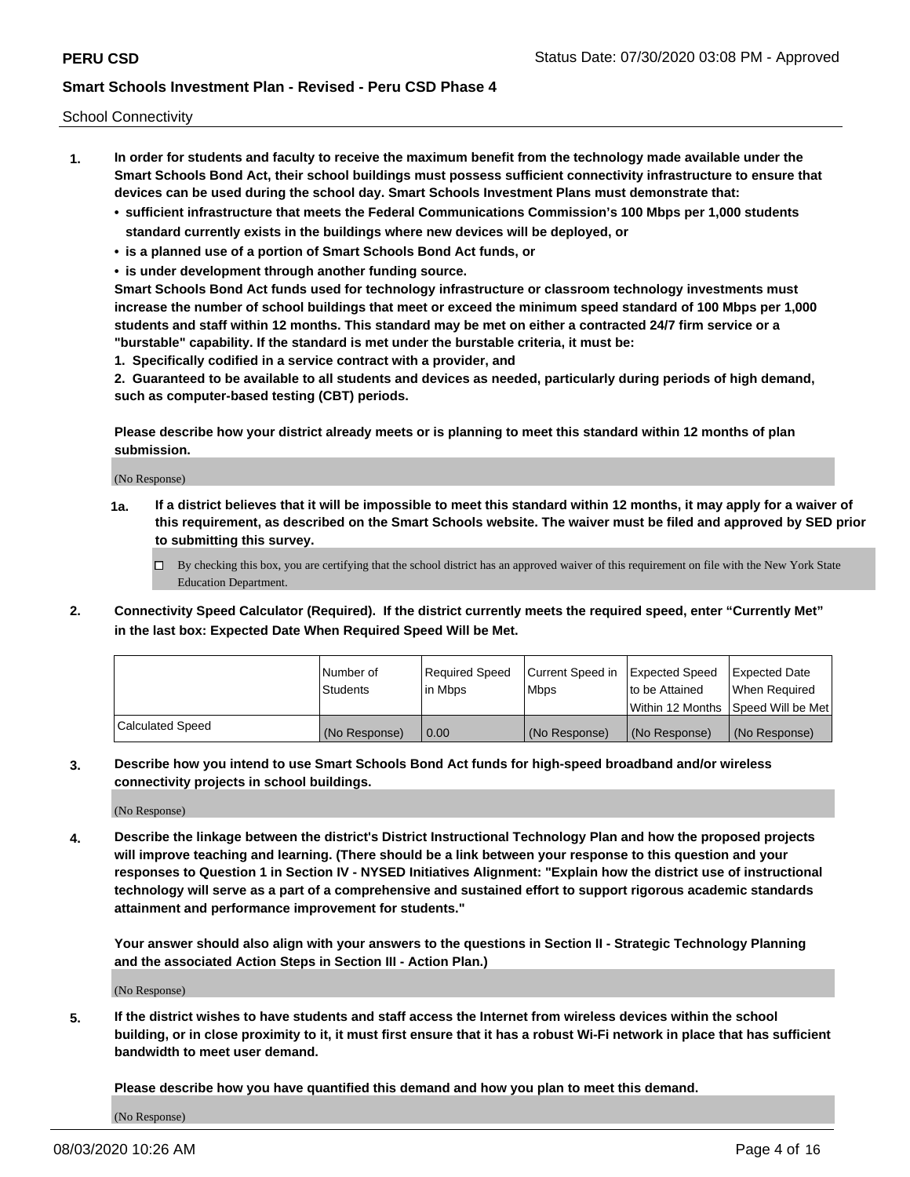School Connectivity

- **1. In order for students and faculty to receive the maximum benefit from the technology made available under the Smart Schools Bond Act, their school buildings must possess sufficient connectivity infrastructure to ensure that devices can be used during the school day. Smart Schools Investment Plans must demonstrate that:**
	- **• sufficient infrastructure that meets the Federal Communications Commission's 100 Mbps per 1,000 students standard currently exists in the buildings where new devices will be deployed, or**
	- **• is a planned use of a portion of Smart Schools Bond Act funds, or**
	- **• is under development through another funding source.**

**Smart Schools Bond Act funds used for technology infrastructure or classroom technology investments must increase the number of school buildings that meet or exceed the minimum speed standard of 100 Mbps per 1,000 students and staff within 12 months. This standard may be met on either a contracted 24/7 firm service or a "burstable" capability. If the standard is met under the burstable criteria, it must be:**

**1. Specifically codified in a service contract with a provider, and**

**2. Guaranteed to be available to all students and devices as needed, particularly during periods of high demand, such as computer-based testing (CBT) periods.**

**Please describe how your district already meets or is planning to meet this standard within 12 months of plan submission.**

(No Response)

**1a. If a district believes that it will be impossible to meet this standard within 12 months, it may apply for a waiver of this requirement, as described on the Smart Schools website. The waiver must be filed and approved by SED prior to submitting this survey.**

 $\Box$  By checking this box, you are certifying that the school district has an approved waiver of this requirement on file with the New York State Education Department.

**2. Connectivity Speed Calculator (Required). If the district currently meets the required speed, enter "Currently Met" in the last box: Expected Date When Required Speed Will be Met.**

|                  | l Number of     | Required Speed | Current Speed in | <b>Expected Speed</b> | <b>Expected Date</b>                |
|------------------|-----------------|----------------|------------------|-----------------------|-------------------------------------|
|                  | <b>Students</b> | l in Mbps      | <b>Mbps</b>      | to be Attained        | When Required                       |
|                  |                 |                |                  |                       | Within 12 Months ISpeed Will be Met |
| Calculated Speed | (No Response)   | 0.00           | (No Response)    | (No Response)         | (No Response)                       |

**3. Describe how you intend to use Smart Schools Bond Act funds for high-speed broadband and/or wireless connectivity projects in school buildings.**

(No Response)

**4. Describe the linkage between the district's District Instructional Technology Plan and how the proposed projects will improve teaching and learning. (There should be a link between your response to this question and your responses to Question 1 in Section IV - NYSED Initiatives Alignment: "Explain how the district use of instructional technology will serve as a part of a comprehensive and sustained effort to support rigorous academic standards attainment and performance improvement for students."** 

**Your answer should also align with your answers to the questions in Section II - Strategic Technology Planning and the associated Action Steps in Section III - Action Plan.)**

(No Response)

**5. If the district wishes to have students and staff access the Internet from wireless devices within the school building, or in close proximity to it, it must first ensure that it has a robust Wi-Fi network in place that has sufficient bandwidth to meet user demand.**

**Please describe how you have quantified this demand and how you plan to meet this demand.**

(No Response)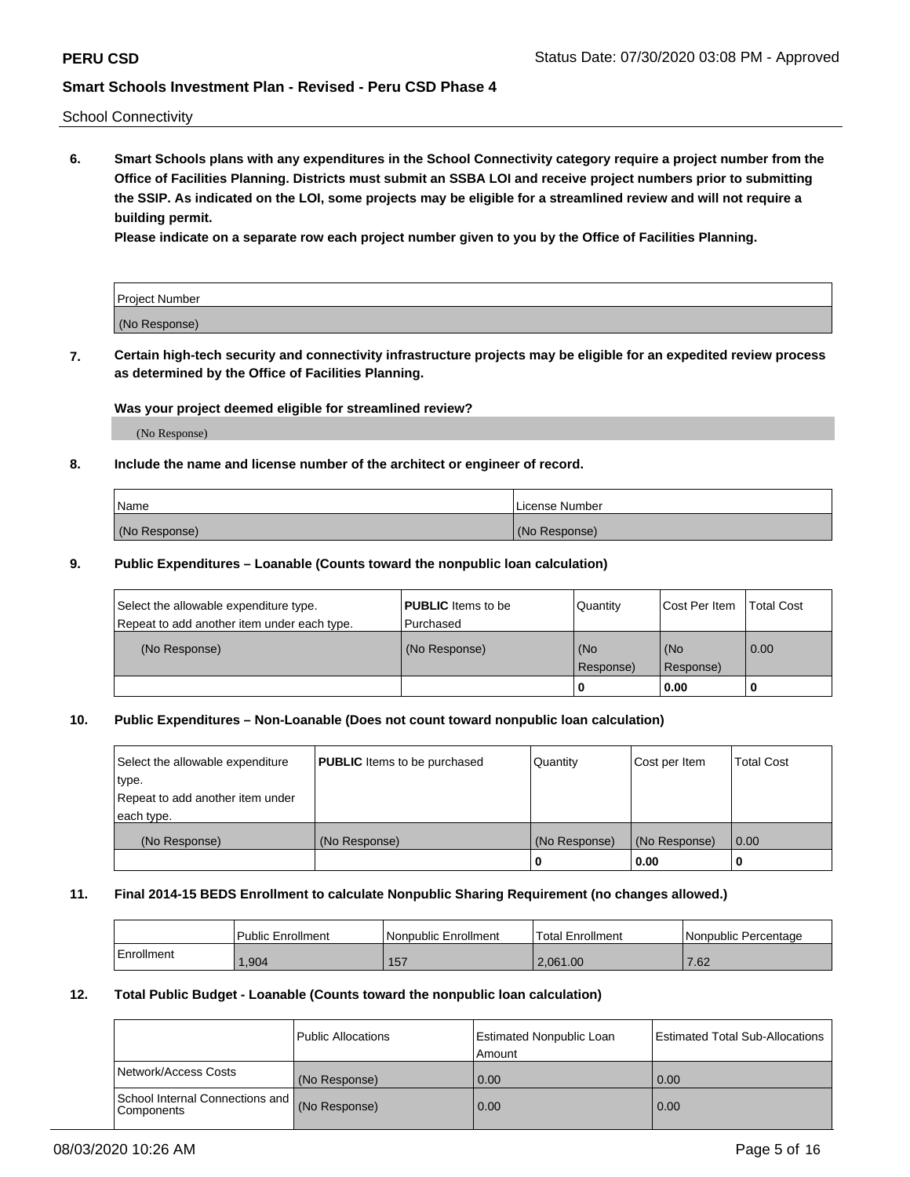School Connectivity

**6. Smart Schools plans with any expenditures in the School Connectivity category require a project number from the Office of Facilities Planning. Districts must submit an SSBA LOI and receive project numbers prior to submitting the SSIP. As indicated on the LOI, some projects may be eligible for a streamlined review and will not require a building permit.**

**Please indicate on a separate row each project number given to you by the Office of Facilities Planning.**

| Project Number |  |
|----------------|--|
| (No Response)  |  |

**7. Certain high-tech security and connectivity infrastructure projects may be eligible for an expedited review process as determined by the Office of Facilities Planning.**

### **Was your project deemed eligible for streamlined review?**

(No Response)

### **8. Include the name and license number of the architect or engineer of record.**

| Name          | License Number |
|---------------|----------------|
| (No Response) | (No Response)  |

#### **9. Public Expenditures – Loanable (Counts toward the nonpublic loan calculation)**

| Select the allowable expenditure type.<br>Repeat to add another item under each type. | <b>PUBLIC</b> Items to be<br>l Purchased | Quantity         | l Cost Per Item  | <b>Total Cost</b> |
|---------------------------------------------------------------------------------------|------------------------------------------|------------------|------------------|-------------------|
| (No Response)                                                                         | (No Response)                            | (No<br>Response) | (No<br>Response) | 0.00              |
|                                                                                       |                                          | 0                | 0.00             |                   |

# **10. Public Expenditures – Non-Loanable (Does not count toward nonpublic loan calculation)**

| Select the allowable expenditure<br>type.<br>Repeat to add another item under<br>each type. | <b>PUBLIC</b> Items to be purchased | Quantity      | Cost per Item | <b>Total Cost</b> |
|---------------------------------------------------------------------------------------------|-------------------------------------|---------------|---------------|-------------------|
| (No Response)                                                                               | (No Response)                       | (No Response) | (No Response) | 0.00              |
|                                                                                             |                                     |               | 0.00          |                   |

#### **11. Final 2014-15 BEDS Enrollment to calculate Nonpublic Sharing Requirement (no changes allowed.)**

|            | Public Enrollment | l Nonpublic Enrollment | <b>Total Enrollment</b> | Nonpublic Percentage |
|------------|-------------------|------------------------|-------------------------|----------------------|
| Enrollment | .,904             | 157                    | 2.061.00                | 7.62                 |

#### **12. Total Public Budget - Loanable (Counts toward the nonpublic loan calculation)**

|                                                      | Public Allocations | <b>Estimated Nonpublic Loan</b><br>Amount | Estimated Total Sub-Allocations |
|------------------------------------------------------|--------------------|-------------------------------------------|---------------------------------|
| Network/Access Costs                                 | (No Response)      | 0.00                                      | 0.00                            |
| School Internal Connections and<br><b>Components</b> | (No Response)      | 0.00                                      | 0.00                            |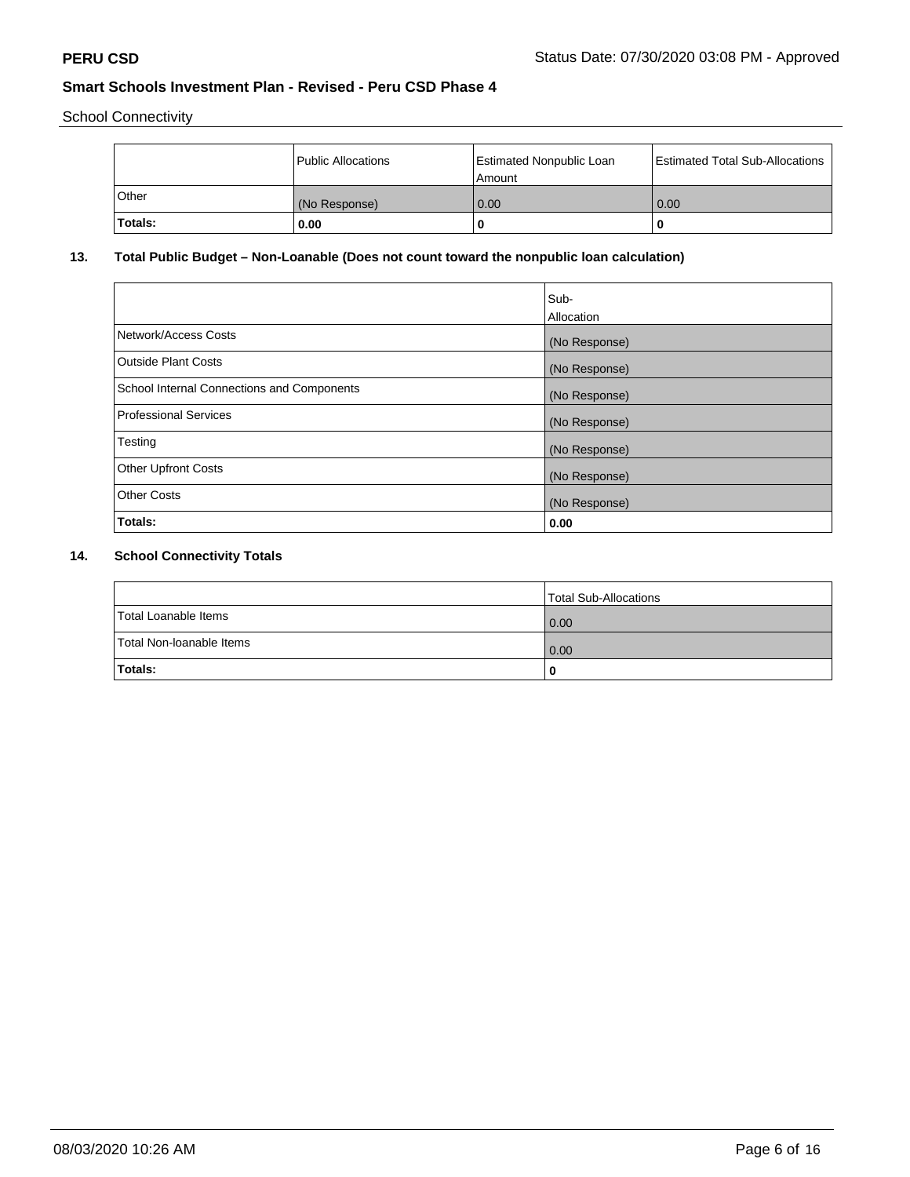School Connectivity

|         | Public Allocations | <b>Estimated Nonpublic Loan</b><br>l Amount | <b>Estimated Total Sub-Allocations</b> |
|---------|--------------------|---------------------------------------------|----------------------------------------|
| Other   | (No Response)      | 0.00                                        | 0.00                                   |
| Totals: | 0.00               | 0                                           |                                        |

# **13. Total Public Budget – Non-Loanable (Does not count toward the nonpublic loan calculation)**

|                                                   | Sub-<br>Allocation |
|---------------------------------------------------|--------------------|
| Network/Access Costs                              | (No Response)      |
| Outside Plant Costs                               | (No Response)      |
| <b>School Internal Connections and Components</b> | (No Response)      |
| <b>Professional Services</b>                      | (No Response)      |
| Testing                                           | (No Response)      |
| <b>Other Upfront Costs</b>                        | (No Response)      |
| <b>Other Costs</b>                                | (No Response)      |
| Totals:                                           | 0.00               |

# **14. School Connectivity Totals**

|                          | Total Sub-Allocations |
|--------------------------|-----------------------|
| Total Loanable Items     | 0.00                  |
| Total Non-Ioanable Items | 0.00                  |
| Totals:                  | 0                     |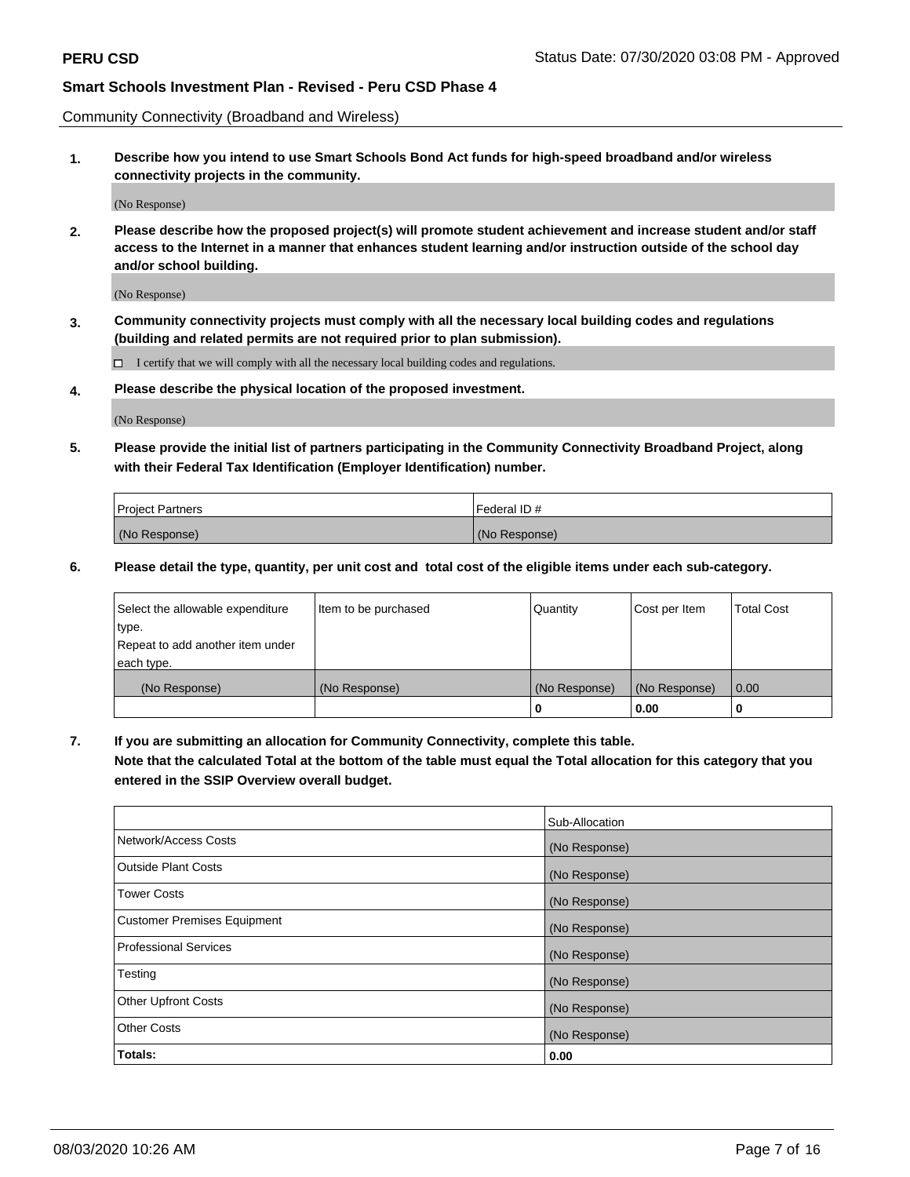Community Connectivity (Broadband and Wireless)

**1. Describe how you intend to use Smart Schools Bond Act funds for high-speed broadband and/or wireless connectivity projects in the community.**

(No Response)

**2. Please describe how the proposed project(s) will promote student achievement and increase student and/or staff access to the Internet in a manner that enhances student learning and/or instruction outside of the school day and/or school building.**

(No Response)

**3. Community connectivity projects must comply with all the necessary local building codes and regulations (building and related permits are not required prior to plan submission).**

 $\Box$  I certify that we will comply with all the necessary local building codes and regulations.

**4. Please describe the physical location of the proposed investment.**

(No Response)

**5. Please provide the initial list of partners participating in the Community Connectivity Broadband Project, along with their Federal Tax Identification (Employer Identification) number.**

| <b>Project Partners</b> | l Federal ID # |
|-------------------------|----------------|
| (No Response)           | (No Response)  |

**6. Please detail the type, quantity, per unit cost and total cost of the eligible items under each sub-category.**

| Select the allowable expenditure | Item to be purchased | Quantity      | Cost per Item | <b>Total Cost</b> |
|----------------------------------|----------------------|---------------|---------------|-------------------|
| type.                            |                      |               |               |                   |
| Repeat to add another item under |                      |               |               |                   |
| each type.                       |                      |               |               |                   |
| (No Response)                    | (No Response)        | (No Response) | (No Response) | 0.00              |
|                                  |                      | U             | 0.00          |                   |

**7. If you are submitting an allocation for Community Connectivity, complete this table.**

**Note that the calculated Total at the bottom of the table must equal the Total allocation for this category that you entered in the SSIP Overview overall budget.**

|                                    | Sub-Allocation |
|------------------------------------|----------------|
| Network/Access Costs               | (No Response)  |
| Outside Plant Costs                | (No Response)  |
| <b>Tower Costs</b>                 | (No Response)  |
| <b>Customer Premises Equipment</b> | (No Response)  |
| <b>Professional Services</b>       | (No Response)  |
| Testing                            | (No Response)  |
| <b>Other Upfront Costs</b>         | (No Response)  |
| <b>Other Costs</b>                 | (No Response)  |
| Totals:                            | 0.00           |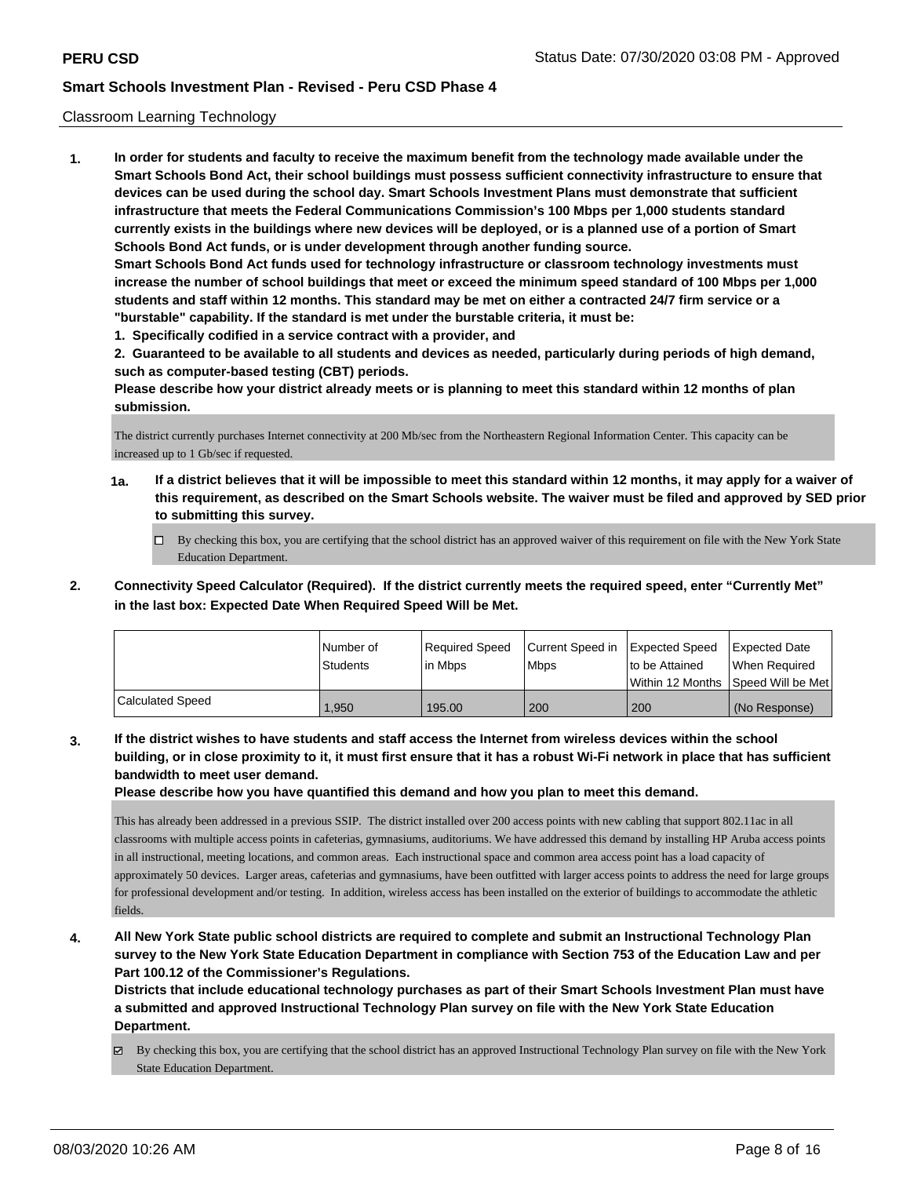### Classroom Learning Technology

**1. In order for students and faculty to receive the maximum benefit from the technology made available under the Smart Schools Bond Act, their school buildings must possess sufficient connectivity infrastructure to ensure that devices can be used during the school day. Smart Schools Investment Plans must demonstrate that sufficient infrastructure that meets the Federal Communications Commission's 100 Mbps per 1,000 students standard currently exists in the buildings where new devices will be deployed, or is a planned use of a portion of Smart Schools Bond Act funds, or is under development through another funding source. Smart Schools Bond Act funds used for technology infrastructure or classroom technology investments must increase the number of school buildings that meet or exceed the minimum speed standard of 100 Mbps per 1,000 students and staff within 12 months. This standard may be met on either a contracted 24/7 firm service or a "burstable" capability. If the standard is met under the burstable criteria, it must be:**

**1. Specifically codified in a service contract with a provider, and**

**2. Guaranteed to be available to all students and devices as needed, particularly during periods of high demand, such as computer-based testing (CBT) periods.**

**Please describe how your district already meets or is planning to meet this standard within 12 months of plan submission.**

The district currently purchases Internet connectivity at 200 Mb/sec from the Northeastern Regional Information Center. This capacity can be increased up to 1 Gb/sec if requested.

- **1a. If a district believes that it will be impossible to meet this standard within 12 months, it may apply for a waiver of this requirement, as described on the Smart Schools website. The waiver must be filed and approved by SED prior to submitting this survey.**
	- By checking this box, you are certifying that the school district has an approved waiver of this requirement on file with the New York State Education Department.
- **2. Connectivity Speed Calculator (Required). If the district currently meets the required speed, enter "Currently Met" in the last box: Expected Date When Required Speed Will be Met.**

|                  | l Number of<br>Students | Required Speed<br>l in Mbps | Current Speed in<br>l Mbps | <b>Expected Speed</b><br>to be Attained | <b>Expected Date</b><br>When Required<br> Within 12 Months  Speed Will be Met |
|------------------|-------------------------|-----------------------------|----------------------------|-----------------------------------------|-------------------------------------------------------------------------------|
| Calculated Speed | .950                    | 195.00                      | 200                        | 200                                     | (No Response)                                                                 |

**3. If the district wishes to have students and staff access the Internet from wireless devices within the school building, or in close proximity to it, it must first ensure that it has a robust Wi-Fi network in place that has sufficient bandwidth to meet user demand.**

**Please describe how you have quantified this demand and how you plan to meet this demand.**

This has already been addressed in a previous SSIP. The district installed over 200 access points with new cabling that support 802.11ac in all classrooms with multiple access points in cafeterias, gymnasiums, auditoriums. We have addressed this demand by installing HP Aruba access points in all instructional, meeting locations, and common areas. Each instructional space and common area access point has a load capacity of approximately 50 devices. Larger areas, cafeterias and gymnasiums, have been outfitted with larger access points to address the need for large groups for professional development and/or testing. In addition, wireless access has been installed on the exterior of buildings to accommodate the athletic fields.

**4. All New York State public school districts are required to complete and submit an Instructional Technology Plan survey to the New York State Education Department in compliance with Section 753 of the Education Law and per Part 100.12 of the Commissioner's Regulations.**

**Districts that include educational technology purchases as part of their Smart Schools Investment Plan must have a submitted and approved Instructional Technology Plan survey on file with the New York State Education Department.**

By checking this box, you are certifying that the school district has an approved Instructional Technology Plan survey on file with the New York State Education Department.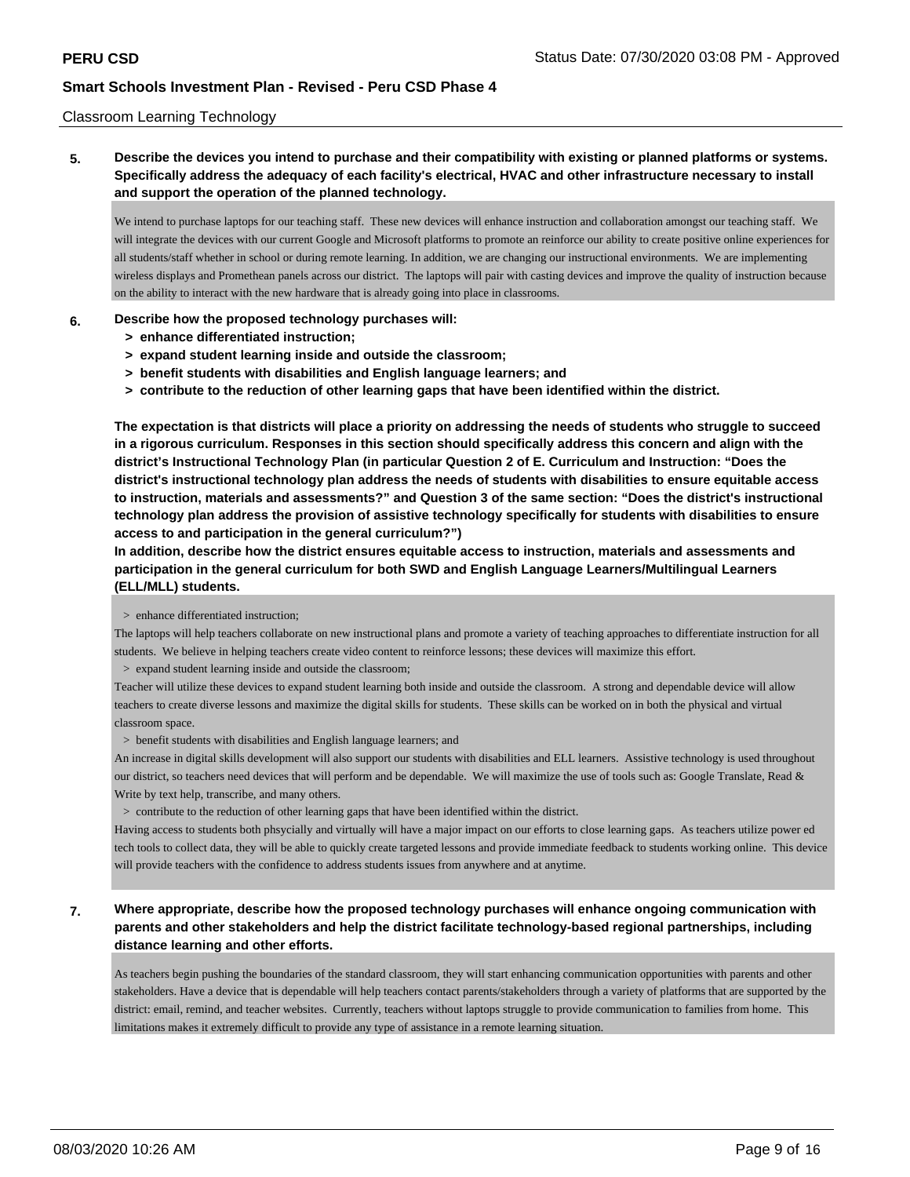### Classroom Learning Technology

**5. Describe the devices you intend to purchase and their compatibility with existing or planned platforms or systems. Specifically address the adequacy of each facility's electrical, HVAC and other infrastructure necessary to install and support the operation of the planned technology.**

We intend to purchase laptops for our teaching staff. These new devices will enhance instruction and collaboration amongst our teaching staff. We will integrate the devices with our current Google and Microsoft platforms to promote an reinforce our ability to create positive online experiences for all students/staff whether in school or during remote learning. In addition, we are changing our instructional environments. We are implementing wireless displays and Promethean panels across our district. The laptops will pair with casting devices and improve the quality of instruction because on the ability to interact with the new hardware that is already going into place in classrooms.

#### **6. Describe how the proposed technology purchases will:**

- **> enhance differentiated instruction;**
- **> expand student learning inside and outside the classroom;**
- **> benefit students with disabilities and English language learners; and**
- **> contribute to the reduction of other learning gaps that have been identified within the district.**

**The expectation is that districts will place a priority on addressing the needs of students who struggle to succeed in a rigorous curriculum. Responses in this section should specifically address this concern and align with the district's Instructional Technology Plan (in particular Question 2 of E. Curriculum and Instruction: "Does the district's instructional technology plan address the needs of students with disabilities to ensure equitable access to instruction, materials and assessments?" and Question 3 of the same section: "Does the district's instructional technology plan address the provision of assistive technology specifically for students with disabilities to ensure access to and participation in the general curriculum?")**

**In addition, describe how the district ensures equitable access to instruction, materials and assessments and participation in the general curriculum for both SWD and English Language Learners/Multilingual Learners (ELL/MLL) students.**

> enhance differentiated instruction;

The laptops will help teachers collaborate on new instructional plans and promote a variety of teaching approaches to differentiate instruction for all students. We believe in helping teachers create video content to reinforce lessons; these devices will maximize this effort.

> expand student learning inside and outside the classroom;

Teacher will utilize these devices to expand student learning both inside and outside the classroom. A strong and dependable device will allow teachers to create diverse lessons and maximize the digital skills for students. These skills can be worked on in both the physical and virtual classroom space.

> benefit students with disabilities and English language learners; and

An increase in digital skills development will also support our students with disabilities and ELL learners. Assistive technology is used throughout our district, so teachers need devices that will perform and be dependable. We will maximize the use of tools such as: Google Translate, Read & Write by text help, transcribe, and many others.

> contribute to the reduction of other learning gaps that have been identified within the district.

Having access to students both phsycially and virtually will have a major impact on our efforts to close learning gaps. As teachers utilize power ed tech tools to collect data, they will be able to quickly create targeted lessons and provide immediate feedback to students working online. This device will provide teachers with the confidence to address students issues from anywhere and at anytime.

**7. Where appropriate, describe how the proposed technology purchases will enhance ongoing communication with parents and other stakeholders and help the district facilitate technology-based regional partnerships, including distance learning and other efforts.**

As teachers begin pushing the boundaries of the standard classroom, they will start enhancing communication opportunities with parents and other stakeholders. Have a device that is dependable will help teachers contact parents/stakeholders through a variety of platforms that are supported by the district: email, remind, and teacher websites. Currently, teachers without laptops struggle to provide communication to families from home. This limitations makes it extremely difficult to provide any type of assistance in a remote learning situation.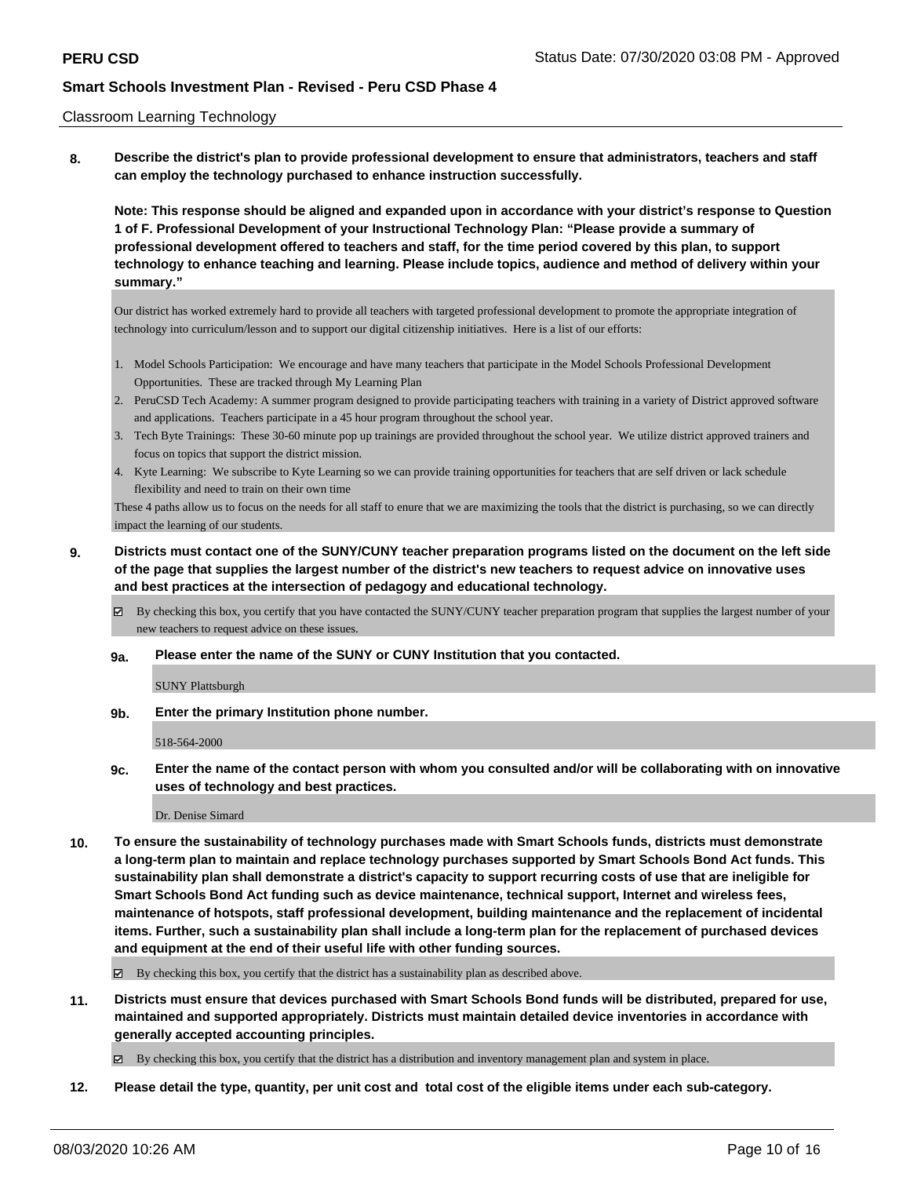#### Classroom Learning Technology

**8. Describe the district's plan to provide professional development to ensure that administrators, teachers and staff can employ the technology purchased to enhance instruction successfully.**

**Note: This response should be aligned and expanded upon in accordance with your district's response to Question 1 of F. Professional Development of your Instructional Technology Plan: "Please provide a summary of professional development offered to teachers and staff, for the time period covered by this plan, to support technology to enhance teaching and learning. Please include topics, audience and method of delivery within your summary."**

Our district has worked extremely hard to provide all teachers with targeted professional development to promote the appropriate integration of technology into curriculum/lesson and to support our digital citizenship initiatives. Here is a list of our efforts:

- 1. Model Schools Participation: We encourage and have many teachers that participate in the Model Schools Professional Development Opportunities. These are tracked through My Learning Plan
- 2. PeruCSD Tech Academy: A summer program designed to provide participating teachers with training in a variety of District approved software and applications. Teachers participate in a 45 hour program throughout the school year.
- 3. Tech Byte Trainings: These 30-60 minute pop up trainings are provided throughout the school year. We utilize district approved trainers and focus on topics that support the district mission.
- 4. Kyte Learning: We subscribe to Kyte Learning so we can provide training opportunities for teachers that are self driven or lack schedule flexibility and need to train on their own time

These 4 paths allow us to focus on the needs for all staff to enure that we are maximizing the tools that the district is purchasing, so we can directly impact the learning of our students.

- **9. Districts must contact one of the SUNY/CUNY teacher preparation programs listed on the document on the left side of the page that supplies the largest number of the district's new teachers to request advice on innovative uses and best practices at the intersection of pedagogy and educational technology.**
	- By checking this box, you certify that you have contacted the SUNY/CUNY teacher preparation program that supplies the largest number of your new teachers to request advice on these issues.
	- **9a. Please enter the name of the SUNY or CUNY Institution that you contacted.**

SUNY Plattsburgh

**9b. Enter the primary Institution phone number.**

518-564-2000

**9c. Enter the name of the contact person with whom you consulted and/or will be collaborating with on innovative uses of technology and best practices.**

Dr. Denise Simard

**10. To ensure the sustainability of technology purchases made with Smart Schools funds, districts must demonstrate a long-term plan to maintain and replace technology purchases supported by Smart Schools Bond Act funds. This sustainability plan shall demonstrate a district's capacity to support recurring costs of use that are ineligible for Smart Schools Bond Act funding such as device maintenance, technical support, Internet and wireless fees, maintenance of hotspots, staff professional development, building maintenance and the replacement of incidental items. Further, such a sustainability plan shall include a long-term plan for the replacement of purchased devices and equipment at the end of their useful life with other funding sources.**

By checking this box, you certify that the district has a sustainability plan as described above.

**11. Districts must ensure that devices purchased with Smart Schools Bond funds will be distributed, prepared for use, maintained and supported appropriately. Districts must maintain detailed device inventories in accordance with generally accepted accounting principles.**

By checking this box, you certify that the district has a distribution and inventory management plan and system in place.

**12. Please detail the type, quantity, per unit cost and total cost of the eligible items under each sub-category.**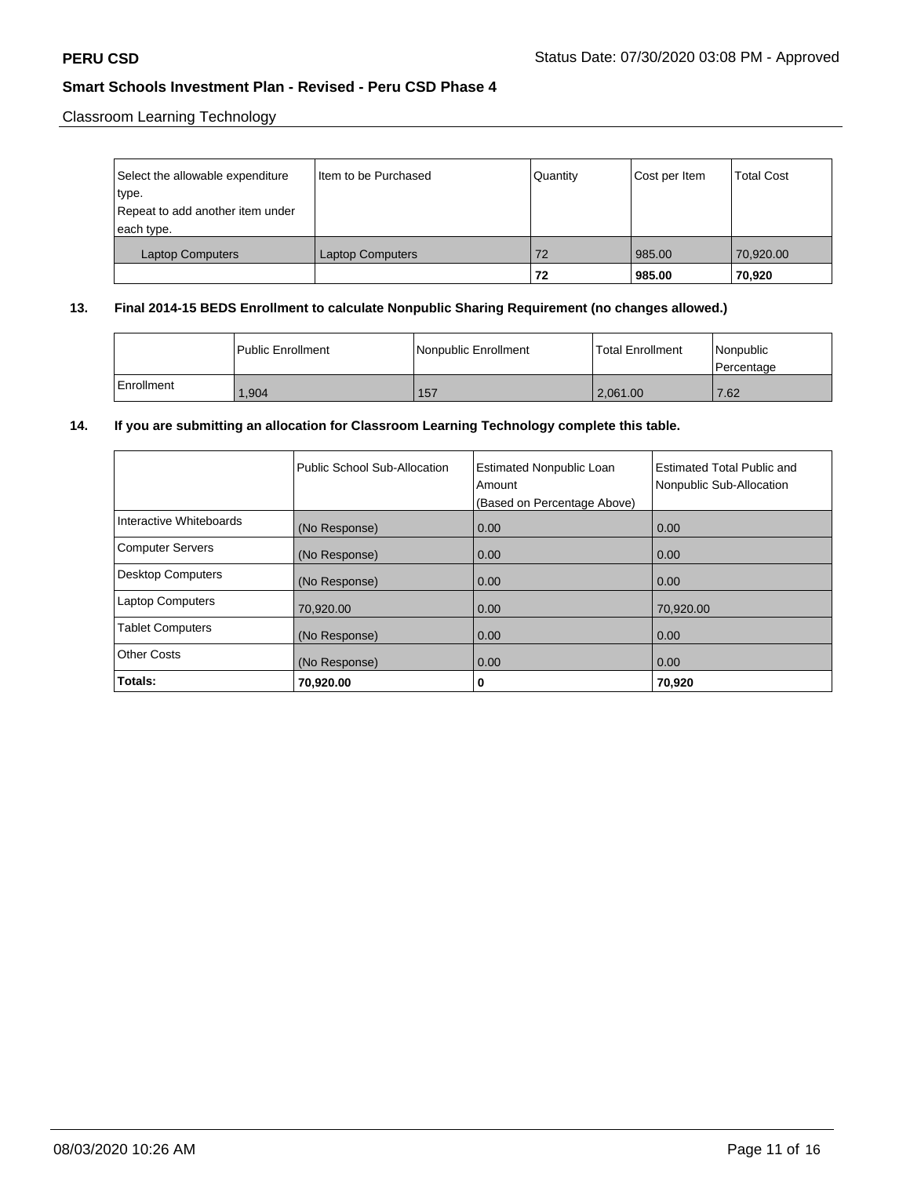Classroom Learning Technology

| Select the allowable expenditure<br>type.      | Iltem to be Purchased   | Quantity | Cost per Item | <b>Total Cost</b> |
|------------------------------------------------|-------------------------|----------|---------------|-------------------|
| Repeat to add another item under<br>each type. |                         |          |               |                   |
| <b>Laptop Computers</b>                        | <b>Laptop Computers</b> | 72       | 985.00        | 70,920.00         |
|                                                |                         | 72       | 985.00        | 70,920            |

## **13. Final 2014-15 BEDS Enrollment to calculate Nonpublic Sharing Requirement (no changes allowed.)**

|            | l Public Enrollment | Nonpublic Enrollment | Total Enrollment | Nonpublic<br>l Percentage |
|------------|---------------------|----------------------|------------------|---------------------------|
| Enrollment | .904                | 157                  | 2.061.00         | 7.62                      |

# **14. If you are submitting an allocation for Classroom Learning Technology complete this table.**

|                          | Public School Sub-Allocation | <b>Estimated Nonpublic Loan</b><br>Amount<br>(Based on Percentage Above) | <b>Estimated Total Public and</b><br>Nonpublic Sub-Allocation |
|--------------------------|------------------------------|--------------------------------------------------------------------------|---------------------------------------------------------------|
| Interactive Whiteboards  | (No Response)                | 0.00                                                                     | 0.00                                                          |
| <b>Computer Servers</b>  | (No Response)                | 0.00                                                                     | 0.00                                                          |
| <b>Desktop Computers</b> | (No Response)                | 0.00                                                                     | 0.00                                                          |
| <b>Laptop Computers</b>  | 70,920.00                    | 0.00                                                                     | 70.920.00                                                     |
| <b>Tablet Computers</b>  | (No Response)                | 0.00                                                                     | 0.00                                                          |
| <b>Other Costs</b>       | (No Response)                | 0.00                                                                     | 0.00                                                          |
| Totals:                  | 70,920.00                    | 0                                                                        | 70,920                                                        |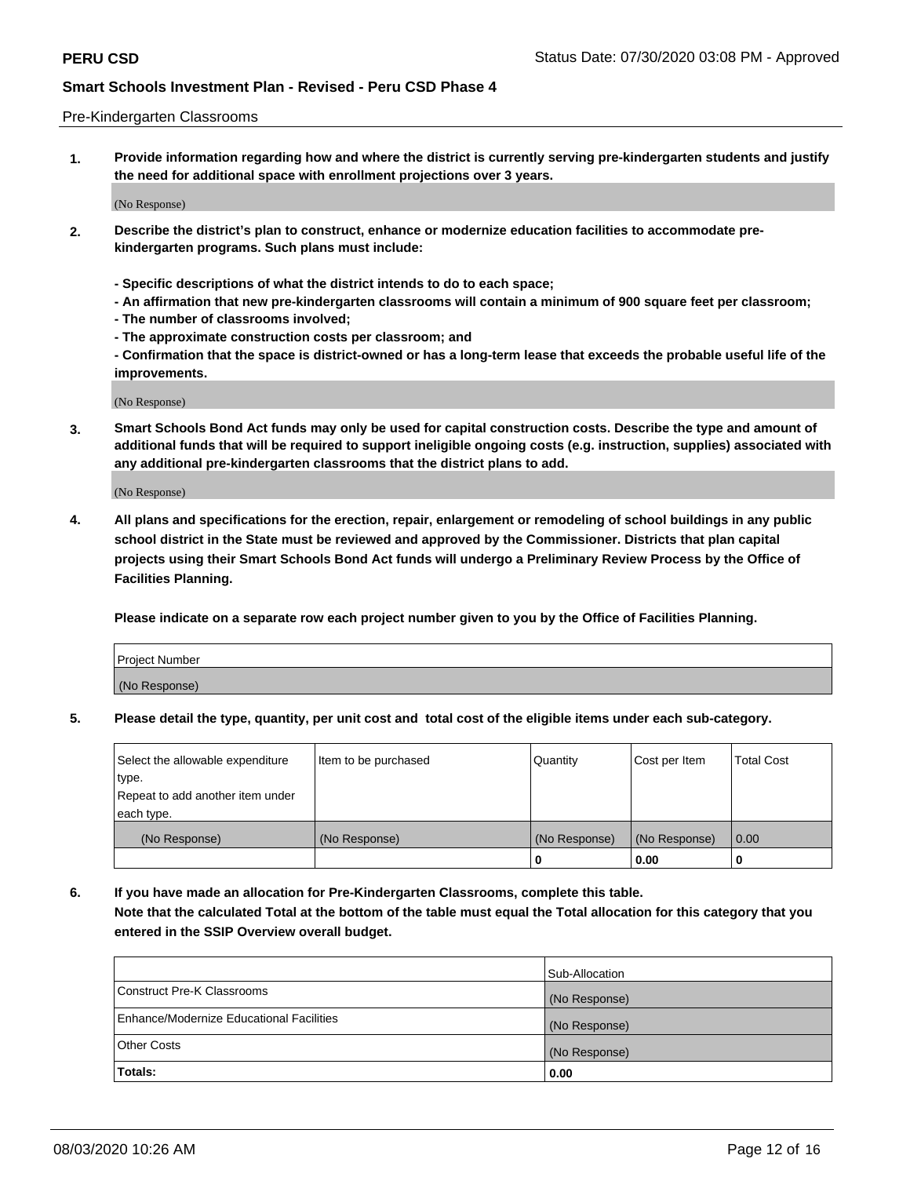#### Pre-Kindergarten Classrooms

**1. Provide information regarding how and where the district is currently serving pre-kindergarten students and justify the need for additional space with enrollment projections over 3 years.**

(No Response)

- **2. Describe the district's plan to construct, enhance or modernize education facilities to accommodate prekindergarten programs. Such plans must include:**
	- **Specific descriptions of what the district intends to do to each space;**
	- **An affirmation that new pre-kindergarten classrooms will contain a minimum of 900 square feet per classroom;**
	- **The number of classrooms involved;**
	- **The approximate construction costs per classroom; and**
	- **Confirmation that the space is district-owned or has a long-term lease that exceeds the probable useful life of the improvements.**

(No Response)

**3. Smart Schools Bond Act funds may only be used for capital construction costs. Describe the type and amount of additional funds that will be required to support ineligible ongoing costs (e.g. instruction, supplies) associated with any additional pre-kindergarten classrooms that the district plans to add.**

(No Response)

**4. All plans and specifications for the erection, repair, enlargement or remodeling of school buildings in any public school district in the State must be reviewed and approved by the Commissioner. Districts that plan capital projects using their Smart Schools Bond Act funds will undergo a Preliminary Review Process by the Office of Facilities Planning.**

**Please indicate on a separate row each project number given to you by the Office of Facilities Planning.**

| Project Number |  |
|----------------|--|
| (No Response)  |  |
|                |  |

**5. Please detail the type, quantity, per unit cost and total cost of the eligible items under each sub-category.**

| Select the allowable expenditure | Item to be purchased | Quantity      | Cost per Item | <b>Total Cost</b> |
|----------------------------------|----------------------|---------------|---------------|-------------------|
| type.                            |                      |               |               |                   |
| Repeat to add another item under |                      |               |               |                   |
| each type.                       |                      |               |               |                   |
| (No Response)                    | (No Response)        | (No Response) | (No Response) | 0.00              |
|                                  |                      | U             | 0.00          |                   |

**6. If you have made an allocation for Pre-Kindergarten Classrooms, complete this table. Note that the calculated Total at the bottom of the table must equal the Total allocation for this category that you entered in the SSIP Overview overall budget.**

|                                          | Sub-Allocation |
|------------------------------------------|----------------|
| Construct Pre-K Classrooms               | (No Response)  |
| Enhance/Modernize Educational Facilities | (No Response)  |
| <b>Other Costs</b>                       | (No Response)  |
| Totals:                                  | 0.00           |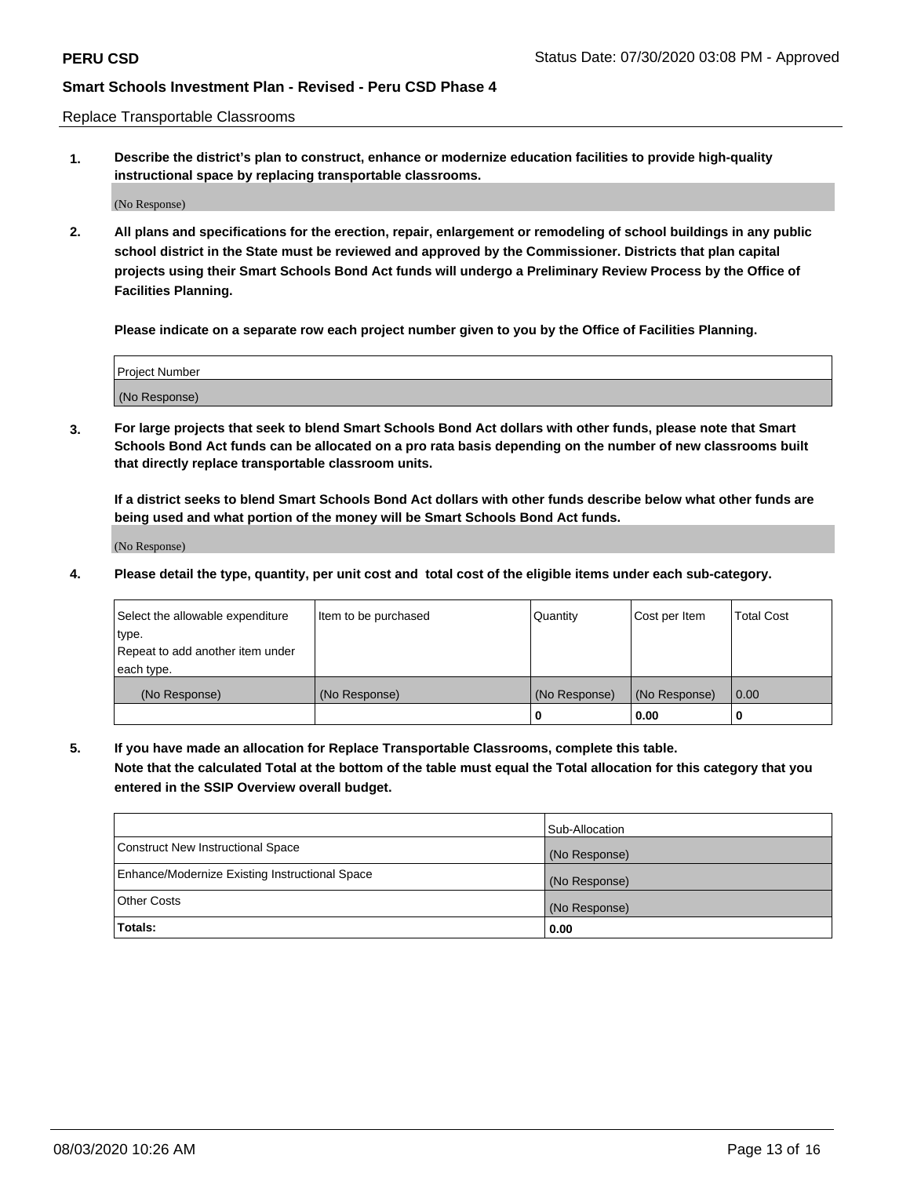Replace Transportable Classrooms

**1. Describe the district's plan to construct, enhance or modernize education facilities to provide high-quality instructional space by replacing transportable classrooms.**

(No Response)

**2. All plans and specifications for the erection, repair, enlargement or remodeling of school buildings in any public school district in the State must be reviewed and approved by the Commissioner. Districts that plan capital projects using their Smart Schools Bond Act funds will undergo a Preliminary Review Process by the Office of Facilities Planning.**

**Please indicate on a separate row each project number given to you by the Office of Facilities Planning.**

| Project Number |  |
|----------------|--|
|                |  |
|                |  |
|                |  |
| (No Response)  |  |
|                |  |
|                |  |

**3. For large projects that seek to blend Smart Schools Bond Act dollars with other funds, please note that Smart Schools Bond Act funds can be allocated on a pro rata basis depending on the number of new classrooms built that directly replace transportable classroom units.**

**If a district seeks to blend Smart Schools Bond Act dollars with other funds describe below what other funds are being used and what portion of the money will be Smart Schools Bond Act funds.**

(No Response)

**4. Please detail the type, quantity, per unit cost and total cost of the eligible items under each sub-category.**

| Select the allowable expenditure | Item to be purchased | Quantity      | Cost per Item | <b>Total Cost</b> |
|----------------------------------|----------------------|---------------|---------------|-------------------|
| ∣type.                           |                      |               |               |                   |
| Repeat to add another item under |                      |               |               |                   |
| each type.                       |                      |               |               |                   |
| (No Response)                    | (No Response)        | (No Response) | (No Response) | 0.00              |
|                                  |                      | 0             | 0.00          |                   |

**5. If you have made an allocation for Replace Transportable Classrooms, complete this table. Note that the calculated Total at the bottom of the table must equal the Total allocation for this category that you entered in the SSIP Overview overall budget.**

|                                                | Sub-Allocation |
|------------------------------------------------|----------------|
| Construct New Instructional Space              | (No Response)  |
| Enhance/Modernize Existing Instructional Space | (No Response)  |
| Other Costs                                    | (No Response)  |
| Totals:                                        | 0.00           |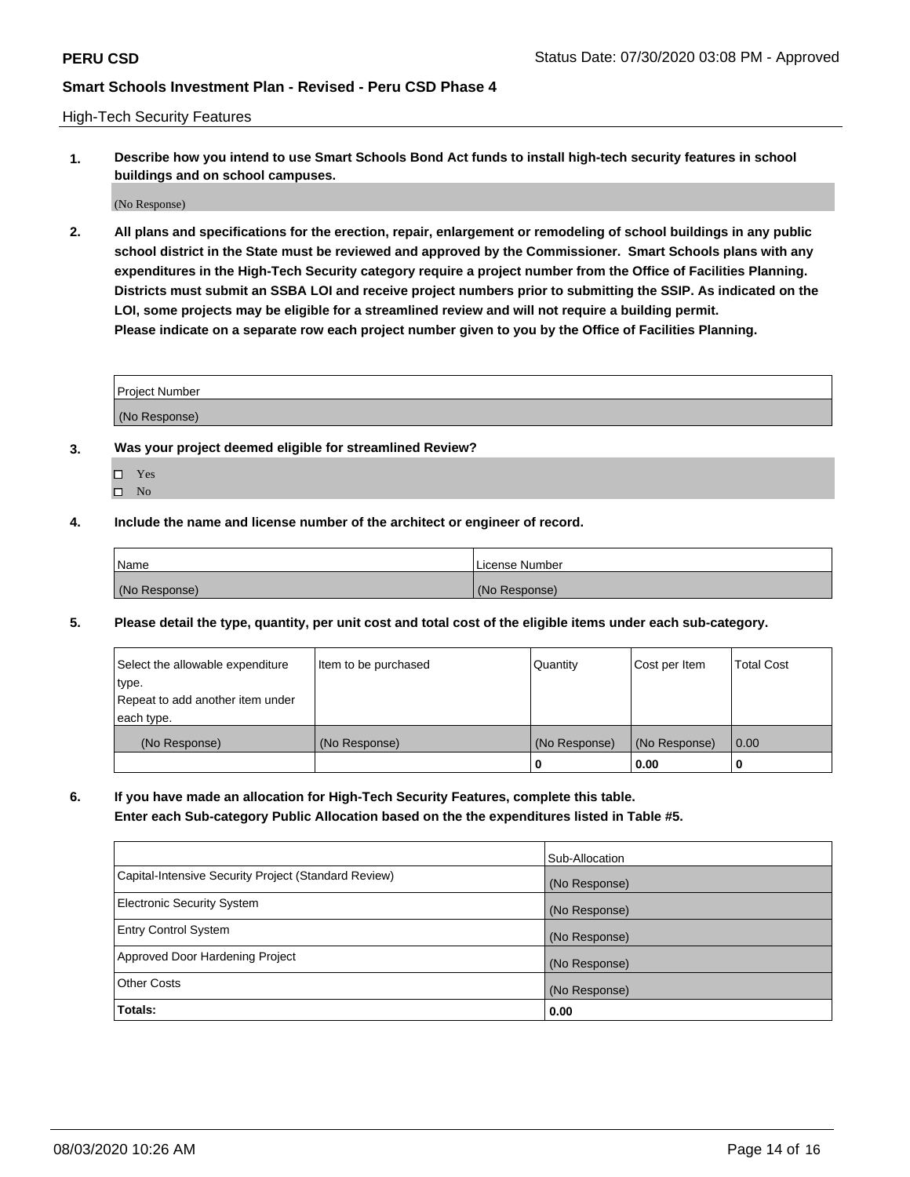High-Tech Security Features

**1. Describe how you intend to use Smart Schools Bond Act funds to install high-tech security features in school buildings and on school campuses.**

(No Response)

**2. All plans and specifications for the erection, repair, enlargement or remodeling of school buildings in any public school district in the State must be reviewed and approved by the Commissioner. Smart Schools plans with any expenditures in the High-Tech Security category require a project number from the Office of Facilities Planning. Districts must submit an SSBA LOI and receive project numbers prior to submitting the SSIP. As indicated on the LOI, some projects may be eligible for a streamlined review and will not require a building permit. Please indicate on a separate row each project number given to you by the Office of Facilities Planning.**

| <b>Project Number</b> |  |
|-----------------------|--|
| (No Response)         |  |

- **3. Was your project deemed eligible for streamlined Review?**
	- Yes
	- $\hfill \Box$  No
- **4. Include the name and license number of the architect or engineer of record.**

| Name          | License Number |
|---------------|----------------|
| (No Response) | (No Response)  |

**5. Please detail the type, quantity, per unit cost and total cost of the eligible items under each sub-category.**

| Select the allowable expenditure | Item to be purchased | Quantity      | Cost per Item | Total Cost |
|----------------------------------|----------------------|---------------|---------------|------------|
| 'type.                           |                      |               |               |            |
| Repeat to add another item under |                      |               |               |            |
| each type.                       |                      |               |               |            |
| (No Response)                    | (No Response)        | (No Response) | (No Response) | 0.00       |
|                                  |                      | u             | 0.00          |            |

**6. If you have made an allocation for High-Tech Security Features, complete this table.**

**Enter each Sub-category Public Allocation based on the the expenditures listed in Table #5.**

|                                                      | Sub-Allocation |
|------------------------------------------------------|----------------|
| Capital-Intensive Security Project (Standard Review) | (No Response)  |
| <b>Electronic Security System</b>                    | (No Response)  |
| <b>Entry Control System</b>                          | (No Response)  |
| Approved Door Hardening Project                      | (No Response)  |
| <b>Other Costs</b>                                   | (No Response)  |
| Totals:                                              | 0.00           |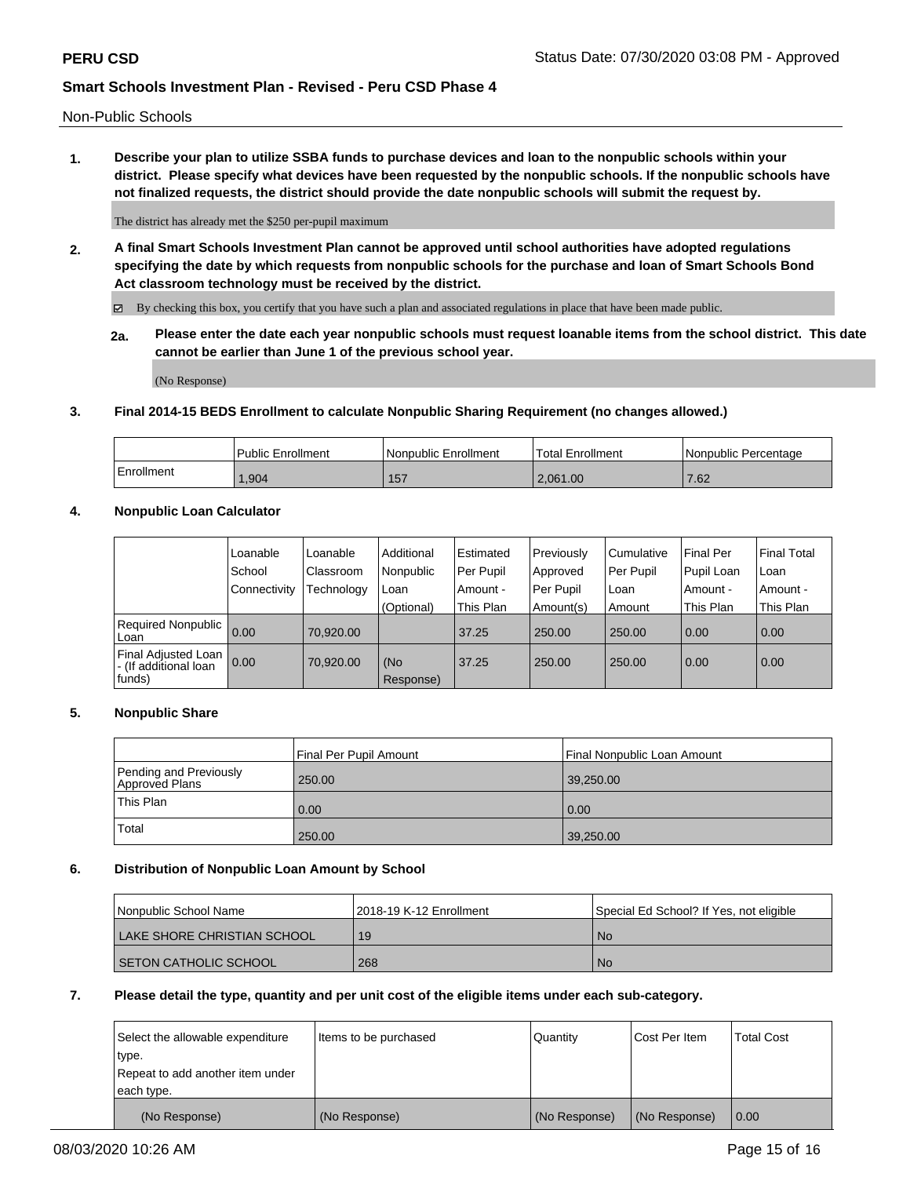Non-Public Schools

**1. Describe your plan to utilize SSBA funds to purchase devices and loan to the nonpublic schools within your district. Please specify what devices have been requested by the nonpublic schools. If the nonpublic schools have not finalized requests, the district should provide the date nonpublic schools will submit the request by.**

The district has already met the \$250 per-pupil maximum

**2. A final Smart Schools Investment Plan cannot be approved until school authorities have adopted regulations specifying the date by which requests from nonpublic schools for the purchase and loan of Smart Schools Bond Act classroom technology must be received by the district.**

By checking this box, you certify that you have such a plan and associated regulations in place that have been made public.

**2a. Please enter the date each year nonpublic schools must request loanable items from the school district. This date cannot be earlier than June 1 of the previous school year.**

(No Response)

### **3. Final 2014-15 BEDS Enrollment to calculate Nonpublic Sharing Requirement (no changes allowed.)**

|            | Public Enrollment | Nonpublic Enrollment | 'Total Enrollment | l Nonpublic Percentage |
|------------|-------------------|----------------------|-------------------|------------------------|
| Enrollment | 1,904             | 157                  | 2.061.00          | 7.62                   |

### **4. Nonpublic Loan Calculator**

|                                                        | Loanable     | Loanable   | Additional       | Estimated | Previously | Cumulative | Final Per  | <b>Final Total</b> |
|--------------------------------------------------------|--------------|------------|------------------|-----------|------------|------------|------------|--------------------|
|                                                        | School       | Classroom  | Nonpublic        | Per Pupil | Approved   | Per Pupil  | Pupil Loan | Loan               |
|                                                        | Connectivity | Technology | Loan             | Amount -  | Per Pupil  | Loan       | Amount -   | Amount -           |
|                                                        |              |            | (Optional)       | This Plan | Amount(s)  | Amount     | This Plan  | This Plan          |
| Required Nonpublic<br>Loan                             | 0.00         | 70,920.00  |                  | 37.25     | 250.00     | 250.00     | 0.00       | 0.00               |
| Final Adjusted Loan<br>- (If additional loan<br>funds) | 0.00         | 70,920.00  | (No<br>Response) | 37.25     | 250.00     | 250.00     | 0.00       | 0.00               |

### **5. Nonpublic Share**

|                                          | Final Per Pupil Amount | Final Nonpublic Loan Amount |
|------------------------------------------|------------------------|-----------------------------|
| Pending and Previously<br>Approved Plans | 250.00                 | 39,250.00                   |
| This Plan                                | 0.00                   | 0.00                        |
| Total                                    | 250.00                 | 39,250.00                   |

### **6. Distribution of Nonpublic Loan Amount by School**

| <b>Nonpublic School Name</b> | l 2018-19 K-12 Enrollment | Special Ed School? If Yes, not eligible |
|------------------------------|---------------------------|-----------------------------------------|
| LAKE SHORE CHRISTIAN SCHOOL  | 19                        | No.                                     |
| I SETON CATHOLIC SCHOOL      | 268                       | No.                                     |

#### **7. Please detail the type, quantity and per unit cost of the eligible items under each sub-category.**

| Select the allowable expenditure<br>type.<br>Repeat to add another item under | Items to be purchased | Quantity      | Cost Per Item | <b>Total Cost</b> |
|-------------------------------------------------------------------------------|-----------------------|---------------|---------------|-------------------|
| each type.                                                                    |                       |               |               |                   |
| (No Response)                                                                 | (No Response)         | (No Response) | (No Response) | l 0.00            |